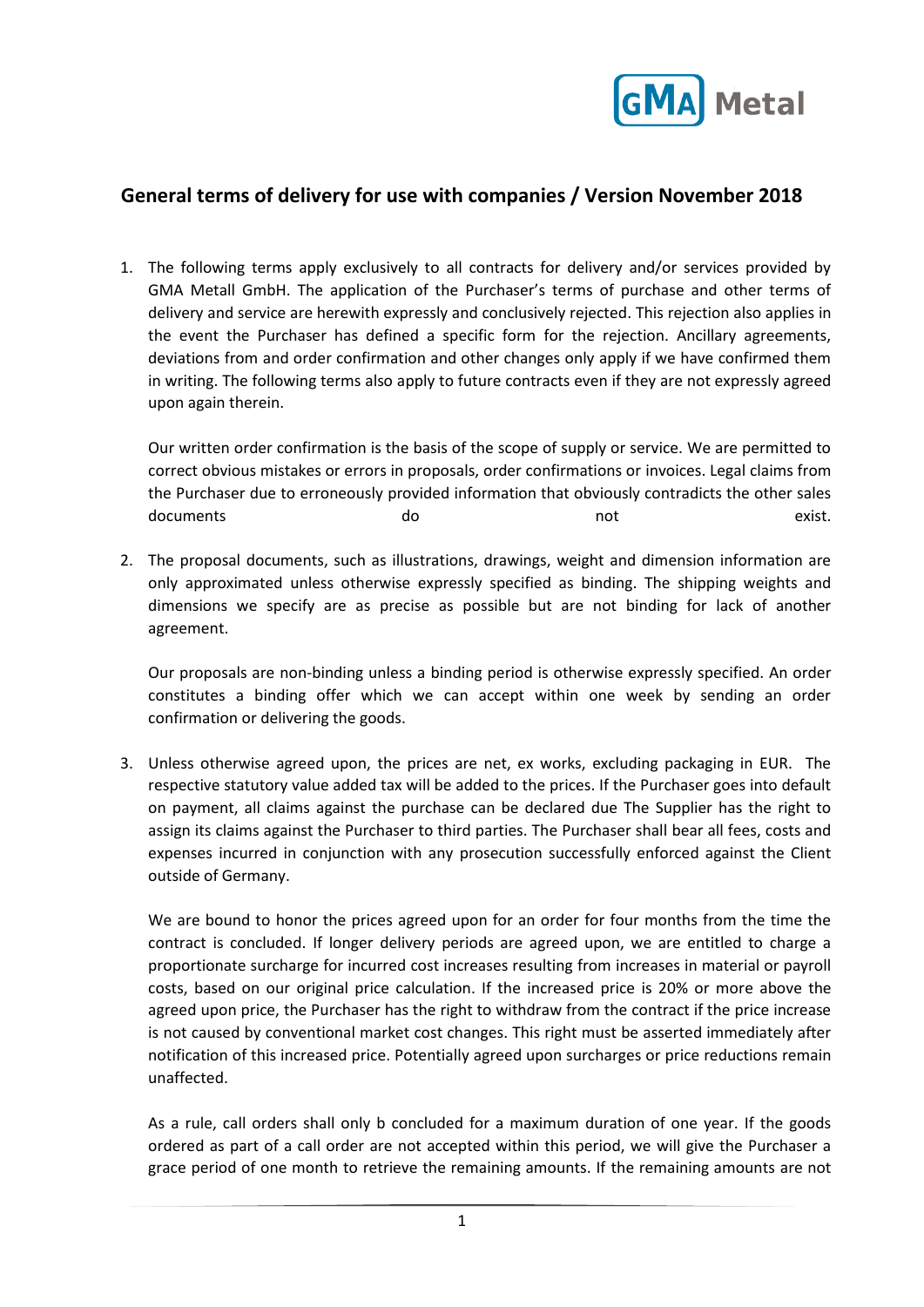

## **General terms of delivery for use with companies / Version November 2018**

1. The following terms apply exclusively to all contracts for delivery and/or services provided by GMA Metall GmbH. The application of the Purchaser's terms of purchase and other terms of delivery and service are herewith expressly and conclusively rejected. This rejection also applies in the event the Purchaser has defined a specific form for the rejection. Ancillary agreements, deviations from and order confirmation and other changes only apply if we have confirmed them in writing. The following terms also apply to future contracts even if they are not expressly agreed upon again therein.

Our written order confirmation is the basis of the scope of supply or service. We are permitted to correct obvious mistakes or errors in proposals, order confirmations or invoices. Legal claims from the Purchaser due to erroneously provided information that obviously contradicts the other sales documents and do not have exist.

2. The proposal documents, such as illustrations, drawings, weight and dimension information are only approximated unless otherwise expressly specified as binding. The shipping weights and dimensions we specify are as precise as possible but are not binding for lack of another agreement.

Our proposals are non-binding unless a binding period is otherwise expressly specified. An order constitutes a binding offer which we can accept within one week by sending an order confirmation or delivering the goods.

3. Unless otherwise agreed upon, the prices are net, ex works, excluding packaging in EUR. The respective statutory value added tax will be added to the prices. If the Purchaser goes into default on payment, all claims against the purchase can be declared due The Supplier has the right to assign its claims against the Purchaser to third parties. The Purchaser shall bear all fees, costs and expenses incurred in conjunction with any prosecution successfully enforced against the Client outside of Germany.

We are bound to honor the prices agreed upon for an order for four months from the time the contract is concluded. If longer delivery periods are agreed upon, we are entitled to charge a proportionate surcharge for incurred cost increases resulting from increases in material or payroll costs, based on our original price calculation. If the increased price is 20% or more above the agreed upon price, the Purchaser has the right to withdraw from the contract if the price increase is not caused by conventional market cost changes. This right must be asserted immediately after notification of this increased price. Potentially agreed upon surcharges or price reductions remain unaffected.

As a rule, call orders shall only b concluded for a maximum duration of one year. If the goods ordered as part of a call order are not accepted within this period, we will give the Purchaser a grace period of one month to retrieve the remaining amounts. If the remaining amounts are not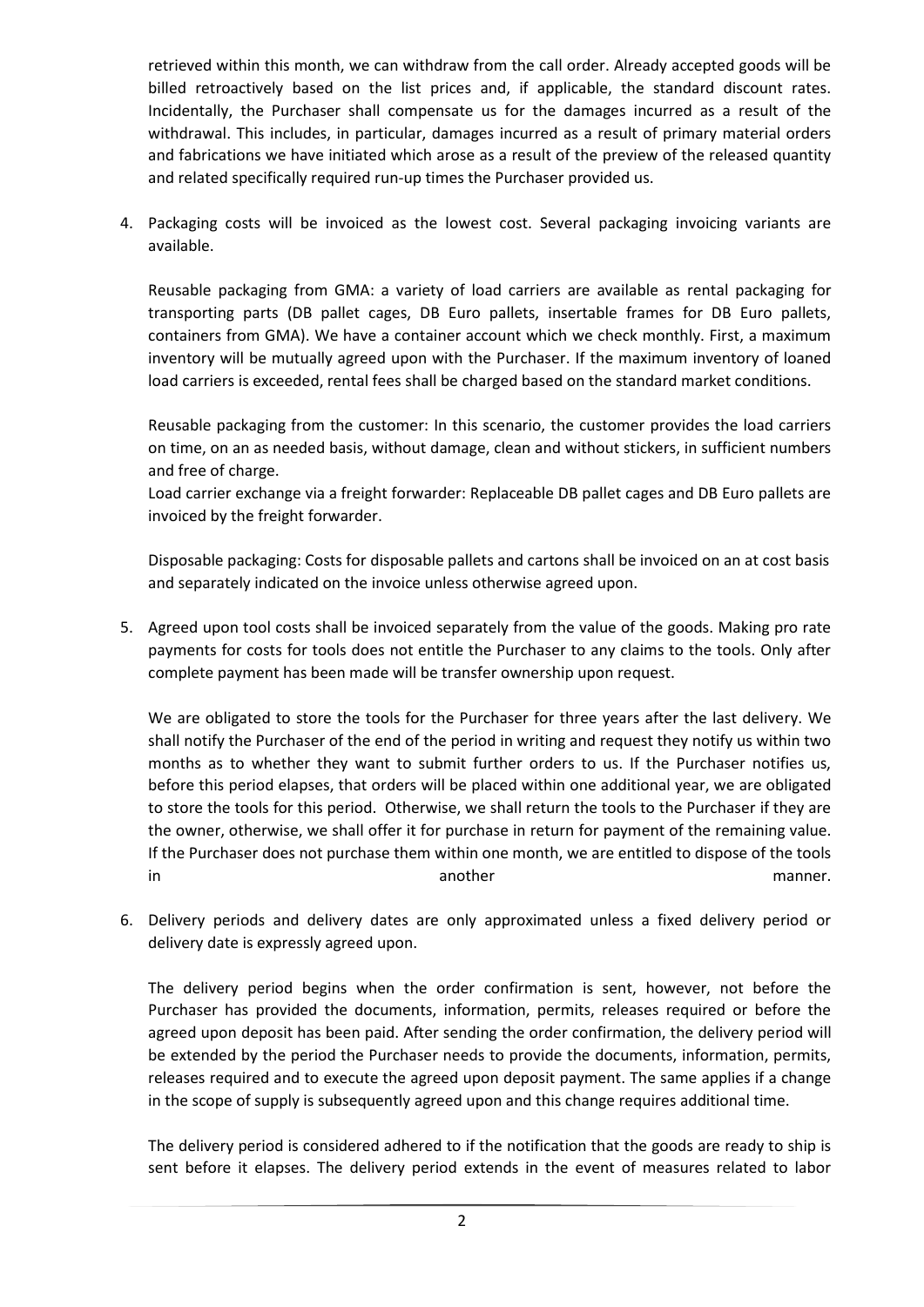retrieved within this month, we can withdraw from the call order. Already accepted goods will be billed retroactively based on the list prices and, if applicable, the standard discount rates. Incidentally, the Purchaser shall compensate us for the damages incurred as a result of the withdrawal. This includes, in particular, damages incurred as a result of primary material orders and fabrications we have initiated which arose as a result of the preview of the released quantity and related specifically required run-up times the Purchaser provided us.

4. Packaging costs will be invoiced as the lowest cost. Several packaging invoicing variants are available.

Reusable packaging from GMA: a variety of load carriers are available as rental packaging for transporting parts (DB pallet cages, DB Euro pallets, insertable frames for DB Euro pallets, containers from GMA). We have a container account which we check monthly. First, a maximum inventory will be mutually agreed upon with the Purchaser. If the maximum inventory of loaned load carriers is exceeded, rental fees shall be charged based on the standard market conditions.

Reusable packaging from the customer: In this scenario, the customer provides the load carriers on time, on an as needed basis, without damage, clean and without stickers, in sufficient numbers and free of charge.

Load carrier exchange via a freight forwarder: Replaceable DB pallet cages and DB Euro pallets are invoiced by the freight forwarder.

Disposable packaging: Costs for disposable pallets and cartons shall be invoiced on an at cost basis and separately indicated on the invoice unless otherwise agreed upon.

5. Agreed upon tool costs shall be invoiced separately from the value of the goods. Making pro rate payments for costs for tools does not entitle the Purchaser to any claims to the tools. Only after complete payment has been made will be transfer ownership upon request.

We are obligated to store the tools for the Purchaser for three years after the last delivery. We shall notify the Purchaser of the end of the period in writing and request they notify us within two months as to whether they want to submit further orders to us. If the Purchaser notifies us, before this period elapses, that orders will be placed within one additional year, we are obligated to store the tools for this period. Otherwise, we shall return the tools to the Purchaser if they are the owner, otherwise, we shall offer it for purchase in return for payment of the remaining value. If the Purchaser does not purchase them within one month, we are entitled to dispose of the tools in another manner.

6. Delivery periods and delivery dates are only approximated unless a fixed delivery period or delivery date is expressly agreed upon.

The delivery period begins when the order confirmation is sent, however, not before the Purchaser has provided the documents, information, permits, releases required or before the agreed upon deposit has been paid. After sending the order confirmation, the delivery period will be extended by the period the Purchaser needs to provide the documents, information, permits, releases required and to execute the agreed upon deposit payment. The same applies if a change in the scope of supply is subsequently agreed upon and this change requires additional time.

The delivery period is considered adhered to if the notification that the goods are ready to ship is sent before it elapses. The delivery period extends in the event of measures related to labor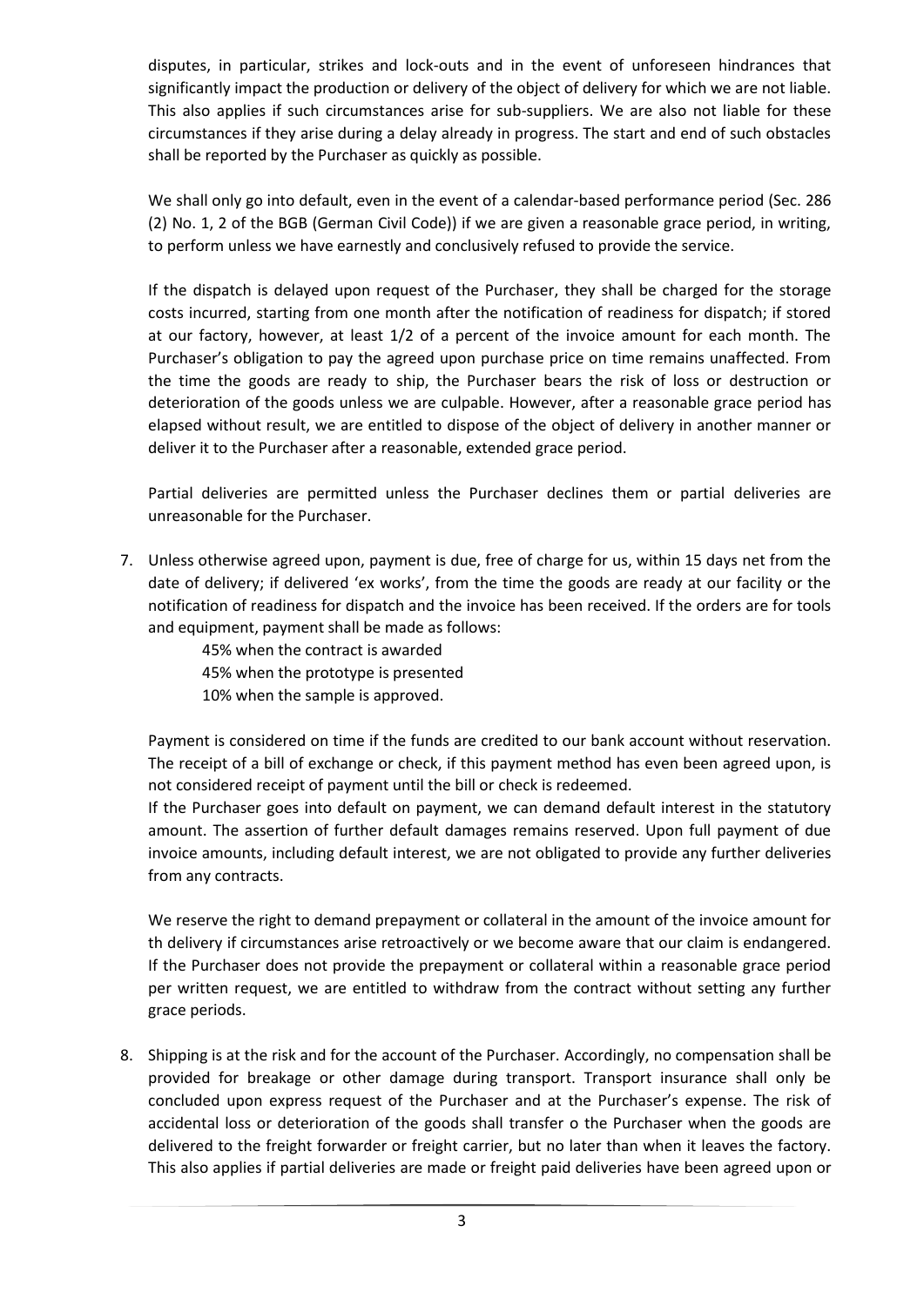disputes, in particular, strikes and lock-outs and in the event of unforeseen hindrances that significantly impact the production or delivery of the object of delivery for which we are not liable. This also applies if such circumstances arise for sub-suppliers. We are also not liable for these circumstances if they arise during a delay already in progress. The start and end of such obstacles shall be reported by the Purchaser as quickly as possible.

We shall only go into default, even in the event of a calendar-based performance period (Sec. 286 (2) No. 1, 2 of the BGB (German Civil Code)) if we are given a reasonable grace period, in writing, to perform unless we have earnestly and conclusively refused to provide the service.

If the dispatch is delayed upon request of the Purchaser, they shall be charged for the storage costs incurred, starting from one month after the notification of readiness for dispatch; if stored at our factory, however, at least 1/2 of a percent of the invoice amount for each month. The Purchaser's obligation to pay the agreed upon purchase price on time remains unaffected. From the time the goods are ready to ship, the Purchaser bears the risk of loss or destruction or deterioration of the goods unless we are culpable. However, after a reasonable grace period has elapsed without result, we are entitled to dispose of the object of delivery in another manner or deliver it to the Purchaser after a reasonable, extended grace period.

Partial deliveries are permitted unless the Purchaser declines them or partial deliveries are unreasonable for the Purchaser.

7. Unless otherwise agreed upon, payment is due, free of charge for us, within 15 days net from the date of delivery; if delivered 'ex works', from the time the goods are ready at our facility or the notification of readiness for dispatch and the invoice has been received. If the orders are for tools and equipment, payment shall be made as follows:

> 45% when the contract is awarded 45% when the prototype is presented 10% when the sample is approved.

Payment is considered on time if the funds are credited to our bank account without reservation. The receipt of a bill of exchange or check, if this payment method has even been agreed upon, is not considered receipt of payment until the bill or check is redeemed.

If the Purchaser goes into default on payment, we can demand default interest in the statutory amount. The assertion of further default damages remains reserved. Upon full payment of due invoice amounts, including default interest, we are not obligated to provide any further deliveries from any contracts.

We reserve the right to demand prepayment or collateral in the amount of the invoice amount for th delivery if circumstances arise retroactively or we become aware that our claim is endangered. If the Purchaser does not provide the prepayment or collateral within a reasonable grace period per written request, we are entitled to withdraw from the contract without setting any further grace periods.

8. Shipping is at the risk and for the account of the Purchaser. Accordingly, no compensation shall be provided for breakage or other damage during transport. Transport insurance shall only be concluded upon express request of the Purchaser and at the Purchaser's expense. The risk of accidental loss or deterioration of the goods shall transfer o the Purchaser when the goods are delivered to the freight forwarder or freight carrier, but no later than when it leaves the factory. This also applies if partial deliveries are made or freight paid deliveries have been agreed upon or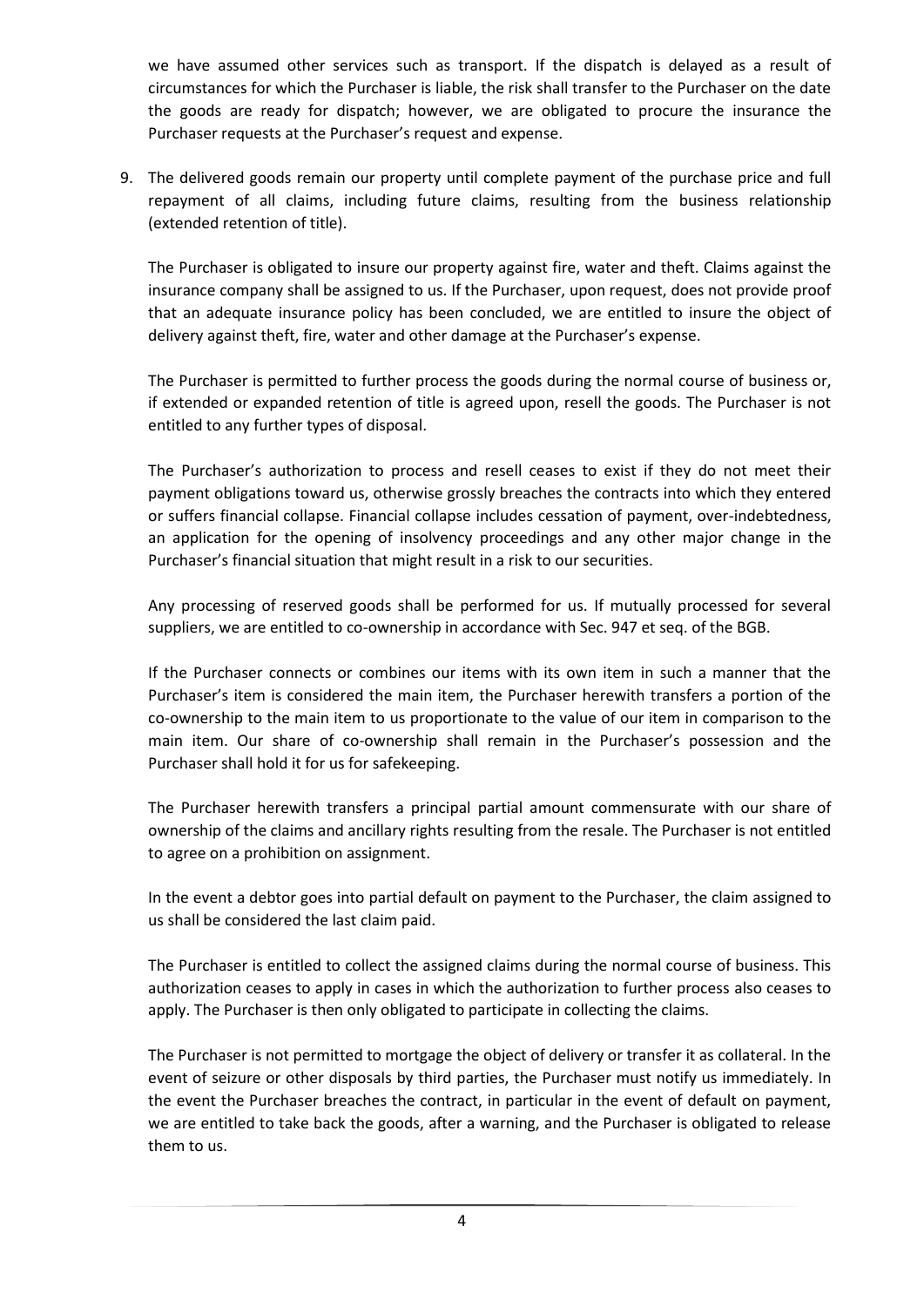we have assumed other services such as transport. If the dispatch is delayed as a result of circumstances for which the Purchaser is liable, the risk shall transfer to the Purchaser on the date the goods are ready for dispatch; however, we are obligated to procure the insurance the Purchaser requests at the Purchaser's request and expense.

9. The delivered goods remain our property until complete payment of the purchase price and full repayment of all claims, including future claims, resulting from the business relationship (extended retention of title).

The Purchaser is obligated to insure our property against fire, water and theft. Claims against the insurance company shall be assigned to us. If the Purchaser, upon request, does not provide proof that an adequate insurance policy has been concluded, we are entitled to insure the object of delivery against theft, fire, water and other damage at the Purchaser's expense.

The Purchaser is permitted to further process the goods during the normal course of business or, if extended or expanded retention of title is agreed upon, resell the goods. The Purchaser is not entitled to any further types of disposal.

The Purchaser's authorization to process and resell ceases to exist if they do not meet their payment obligations toward us, otherwise grossly breaches the contracts into which they entered or suffers financial collapse. Financial collapse includes cessation of payment, over-indebtedness, an application for the opening of insolvency proceedings and any other major change in the Purchaser's financial situation that might result in a risk to our securities.

Any processing of reserved goods shall be performed for us. If mutually processed for several suppliers, we are entitled to co-ownership in accordance with Sec. 947 et seq. of the BGB.

If the Purchaser connects or combines our items with its own item in such a manner that the Purchaser's item is considered the main item, the Purchaser herewith transfers a portion of the co-ownership to the main item to us proportionate to the value of our item in comparison to the main item. Our share of co-ownership shall remain in the Purchaser's possession and the Purchaser shall hold it for us for safekeeping.

The Purchaser herewith transfers a principal partial amount commensurate with our share of ownership of the claims and ancillary rights resulting from the resale. The Purchaser is not entitled to agree on a prohibition on assignment.

In the event a debtor goes into partial default on payment to the Purchaser, the claim assigned to us shall be considered the last claim paid.

The Purchaser is entitled to collect the assigned claims during the normal course of business. This authorization ceases to apply in cases in which the authorization to further process also ceases to apply. The Purchaser is then only obligated to participate in collecting the claims.

The Purchaser is not permitted to mortgage the object of delivery or transfer it as collateral. In the event of seizure or other disposals by third parties, the Purchaser must notify us immediately. In the event the Purchaser breaches the contract, in particular in the event of default on payment, we are entitled to take back the goods, after a warning, and the Purchaser is obligated to release them to us.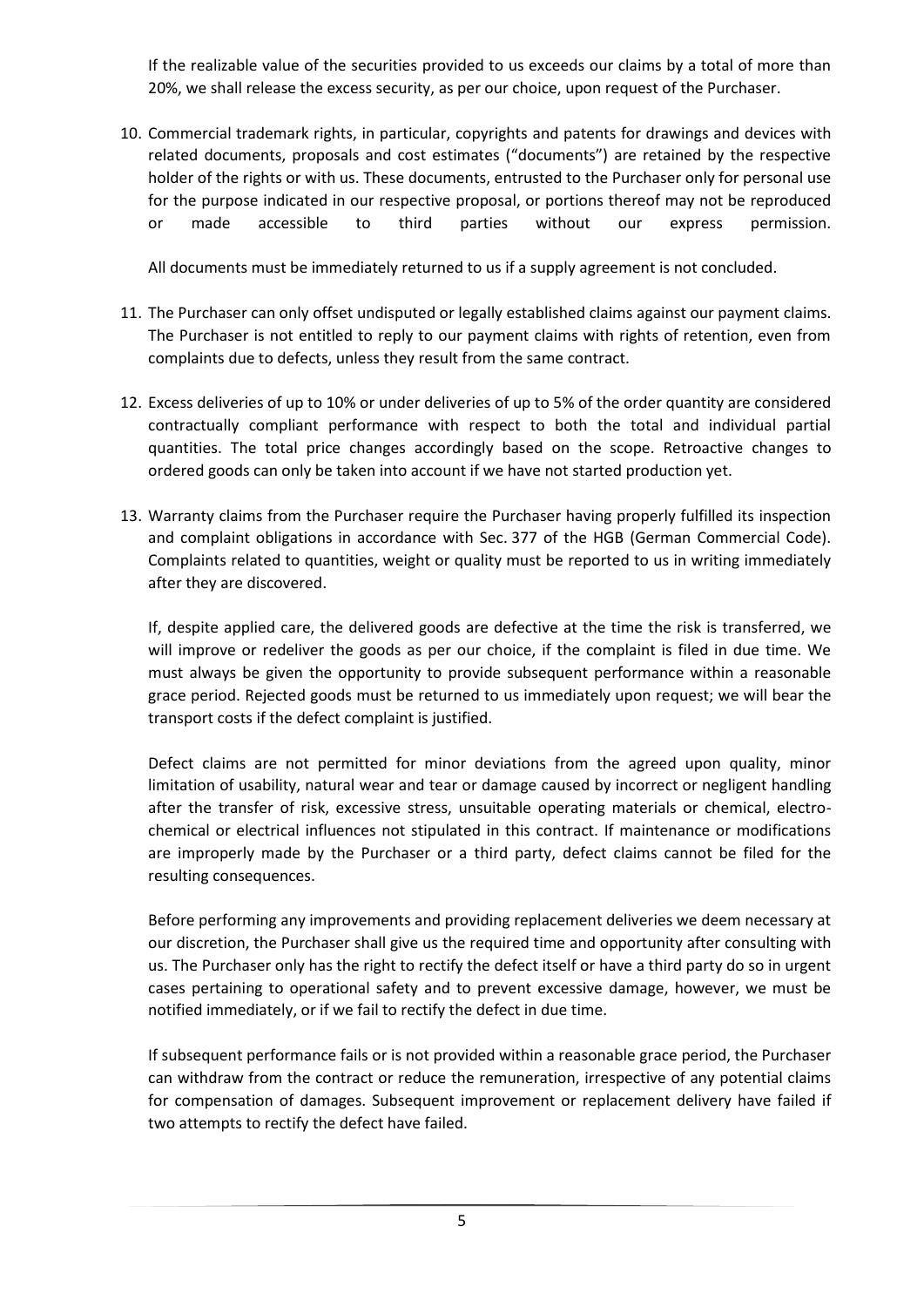If the realizable value of the securities provided to us exceeds our claims by a total of more than 20%, we shall release the excess security, as per our choice, upon request of the Purchaser.

10. Commercial trademark rights, in particular, copyrights and patents for drawings and devices with related documents, proposals and cost estimates ("documents") are retained by the respective holder of the rights or with us. These documents, entrusted to the Purchaser only for personal use for the purpose indicated in our respective proposal, or portions thereof may not be reproduced or made accessible to third parties without our express permission.

All documents must be immediately returned to us if a supply agreement is not concluded.

- 11. The Purchaser can only offset undisputed or legally established claims against our payment claims. The Purchaser is not entitled to reply to our payment claims with rights of retention, even from complaints due to defects, unless they result from the same contract.
- 12. Excess deliveries of up to 10% or under deliveries of up to 5% of the order quantity are considered contractually compliant performance with respect to both the total and individual partial quantities. The total price changes accordingly based on the scope. Retroactive changes to ordered goods can only be taken into account if we have not started production yet.
- 13. Warranty claims from the Purchaser require the Purchaser having properly fulfilled its inspection and complaint obligations in accordance with Sec. 377 of the HGB (German Commercial Code). Complaints related to quantities, weight or quality must be reported to us in writing immediately after they are discovered.

If, despite applied care, the delivered goods are defective at the time the risk is transferred, we will improve or redeliver the goods as per our choice, if the complaint is filed in due time. We must always be given the opportunity to provide subsequent performance within a reasonable grace period. Rejected goods must be returned to us immediately upon request; we will bear the transport costs if the defect complaint is justified.

Defect claims are not permitted for minor deviations from the agreed upon quality, minor limitation of usability, natural wear and tear or damage caused by incorrect or negligent handling after the transfer of risk, excessive stress, unsuitable operating materials or chemical, electrochemical or electrical influences not stipulated in this contract. If maintenance or modifications are improperly made by the Purchaser or a third party, defect claims cannot be filed for the resulting consequences.

Before performing any improvements and providing replacement deliveries we deem necessary at our discretion, the Purchaser shall give us the required time and opportunity after consulting with us. The Purchaser only has the right to rectify the defect itself or have a third party do so in urgent cases pertaining to operational safety and to prevent excessive damage, however, we must be notified immediately, or if we fail to rectify the defect in due time.

If subsequent performance fails or is not provided within a reasonable grace period, the Purchaser can withdraw from the contract or reduce the remuneration, irrespective of any potential claims for compensation of damages. Subsequent improvement or replacement delivery have failed if two attempts to rectify the defect have failed.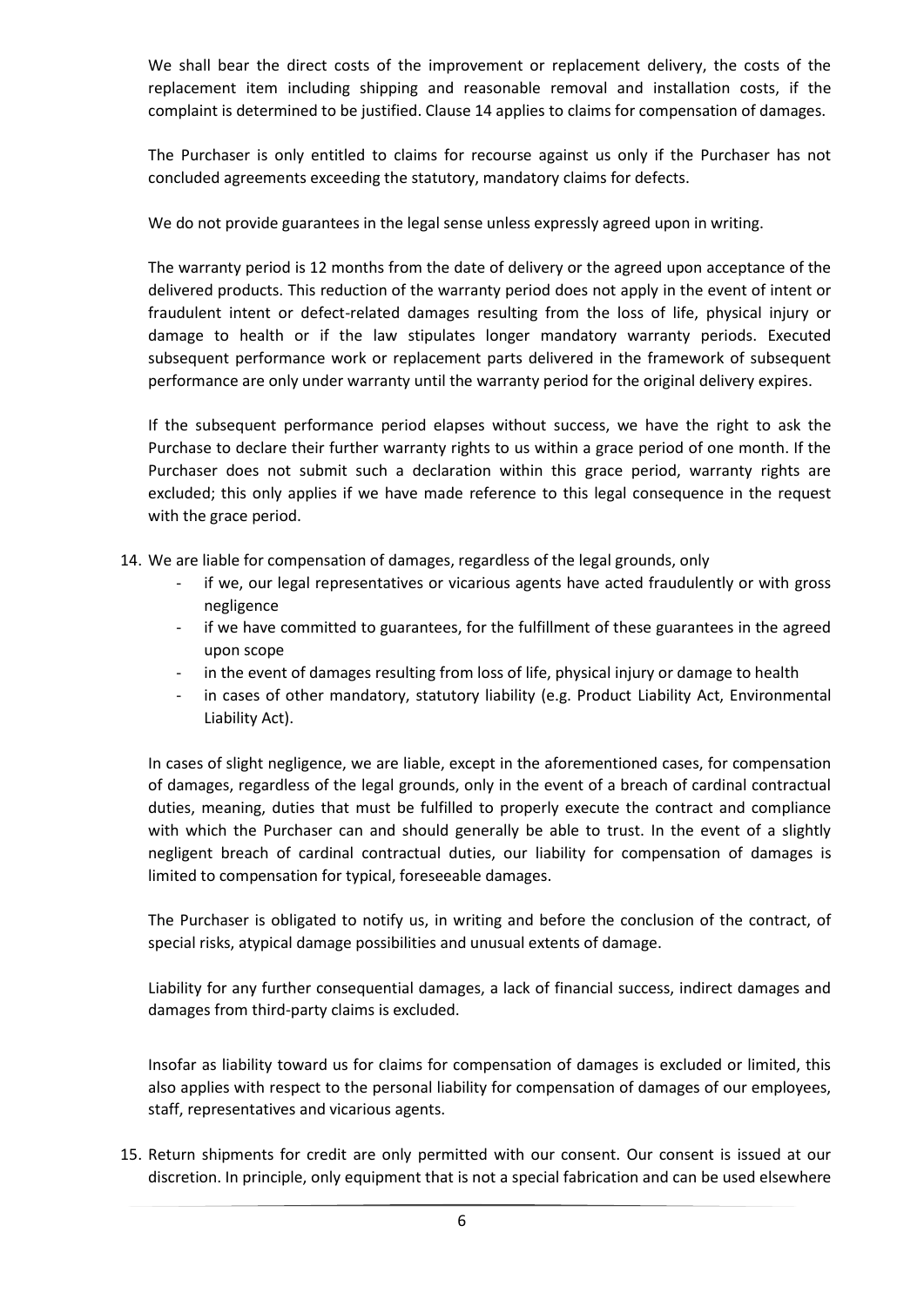We shall bear the direct costs of the improvement or replacement delivery, the costs of the replacement item including shipping and reasonable removal and installation costs, if the complaint is determined to be justified. Clause 14 applies to claims for compensation of damages.

The Purchaser is only entitled to claims for recourse against us only if the Purchaser has not concluded agreements exceeding the statutory, mandatory claims for defects.

We do not provide guarantees in the legal sense unless expressly agreed upon in writing.

The warranty period is 12 months from the date of delivery or the agreed upon acceptance of the delivered products. This reduction of the warranty period does not apply in the event of intent or fraudulent intent or defect-related damages resulting from the loss of life, physical injury or damage to health or if the law stipulates longer mandatory warranty periods. Executed subsequent performance work or replacement parts delivered in the framework of subsequent performance are only under warranty until the warranty period for the original delivery expires.

If the subsequent performance period elapses without success, we have the right to ask the Purchase to declare their further warranty rights to us within a grace period of one month. If the Purchaser does not submit such a declaration within this grace period, warranty rights are excluded; this only applies if we have made reference to this legal consequence in the request with the grace period.

- 14. We are liable for compensation of damages, regardless of the legal grounds, only
	- if we, our legal representatives or vicarious agents have acted fraudulently or with gross negligence
	- if we have committed to guarantees, for the fulfillment of these guarantees in the agreed upon scope
	- in the event of damages resulting from loss of life, physical injury or damage to health
	- in cases of other mandatory, statutory liability (e.g. Product Liability Act, Environmental Liability Act).

In cases of slight negligence, we are liable, except in the aforementioned cases, for compensation of damages, regardless of the legal grounds, only in the event of a breach of cardinal contractual duties, meaning, duties that must be fulfilled to properly execute the contract and compliance with which the Purchaser can and should generally be able to trust. In the event of a slightly negligent breach of cardinal contractual duties, our liability for compensation of damages is limited to compensation for typical, foreseeable damages.

The Purchaser is obligated to notify us, in writing and before the conclusion of the contract, of special risks, atypical damage possibilities and unusual extents of damage.

Liability for any further consequential damages, a lack of financial success, indirect damages and damages from third-party claims is excluded.

Insofar as liability toward us for claims for compensation of damages is excluded or limited, this also applies with respect to the personal liability for compensation of damages of our employees, staff, representatives and vicarious agents.

15. Return shipments for credit are only permitted with our consent. Our consent is issued at our discretion. In principle, only equipment that is not a special fabrication and can be used elsewhere